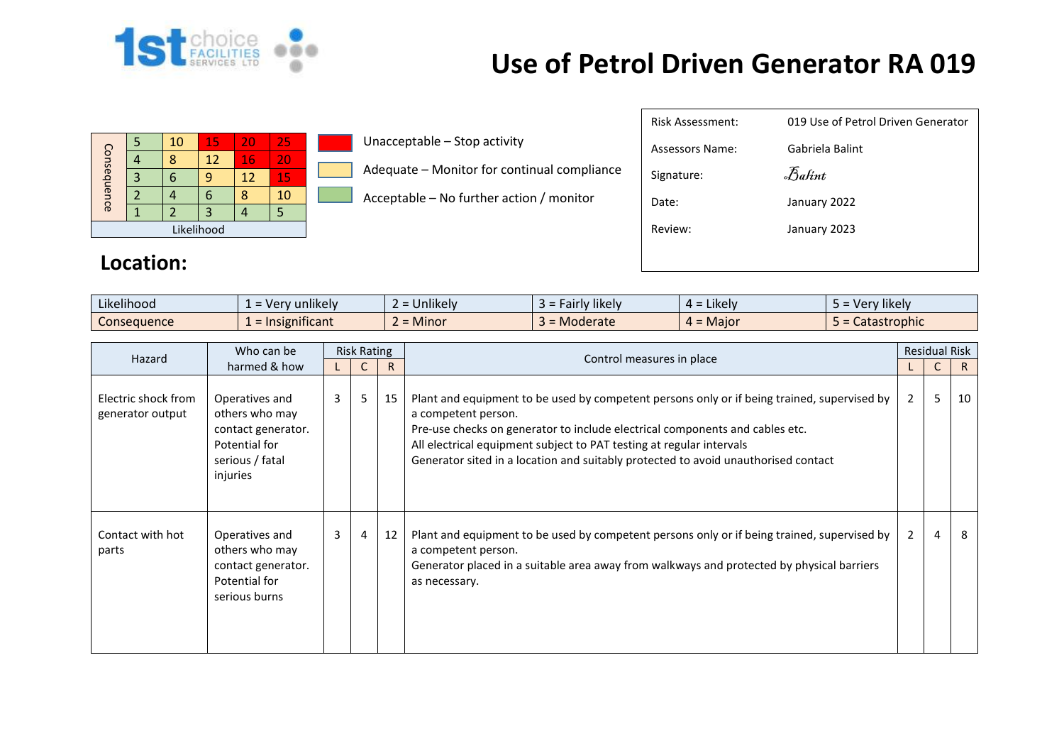

## **Use of Petrol Driven Generator RA 019**

| Consequence |   | 10 | 15 | 20 | 25 |  |  |  |
|-------------|---|----|----|----|----|--|--|--|
|             |   |    | 12 | 16 | 20 |  |  |  |
|             | 3 | h  |    | 12 | 15 |  |  |  |
|             |   |    | n  | Я  | 10 |  |  |  |
|             |   |    |    |    |    |  |  |  |
| Likelihood  |   |    |    |    |    |  |  |  |

**Location:**

Unacceptable – Stop activity

- Adequate Monitor for continual compliance
- Acceptable No further action / monitor

| Risk Assessment: | 019 Use of Petrol Driven Generator |
|------------------|------------------------------------|
| Assessors Name:  | Gabriela Balint                    |
| Signature:       | Balint                             |
| Date:            | January 2022                       |
| Review:          | January 2023                       |
|                  |                                    |
|                  |                                    |

| Likelihood  | $\cdots$<br>unlikelv           | .<br>Unlikelv | likely<br>$\overline{\phantom{a}}$ diffy $\overline{\phantom{a}}$ | .<br>$\overline{\phantom{a}}$ Likely $\overline{\phantom{a}}$<br>$\sim$ | $\cdots$<br>Very likely |
|-------------|--------------------------------|---------------|-------------------------------------------------------------------|-------------------------------------------------------------------------|-------------------------|
| Consequence | nıfıcant<br><b>Insigr</b><br>- | <b>Minor</b>  | Moderate                                                          | - Major<br>.                                                            | trophic<br>Jalas.       |

| Hazard                                  | Who can be                                                                                             | <b>Risk Rating</b> |                |    |                                                                                                                                                                                                                                                                                                                                                                  | <b>Residual Risk</b> |    |    |
|-----------------------------------------|--------------------------------------------------------------------------------------------------------|--------------------|----------------|----|------------------------------------------------------------------------------------------------------------------------------------------------------------------------------------------------------------------------------------------------------------------------------------------------------------------------------------------------------------------|----------------------|----|----|
|                                         | harmed & how                                                                                           |                    |                | R. | Control measures in place                                                                                                                                                                                                                                                                                                                                        |                      | C. | R  |
| Electric shock from<br>generator output | Operatives and<br>others who may<br>contact generator.<br>Potential for<br>serious / fatal<br>injuries | 3                  | 5              | 15 | Plant and equipment to be used by competent persons only or if being trained, supervised by<br>a competent person.<br>Pre-use checks on generator to include electrical components and cables etc.<br>All electrical equipment subject to PAT testing at regular intervals<br>Generator sited in a location and suitably protected to avoid unauthorised contact | $\overline{2}$       | 5  | 10 |
| Contact with hot<br>parts               | Operatives and<br>others who may<br>contact generator.<br>Potential for<br>serious burns               | 3                  | $\overline{4}$ | 12 | Plant and equipment to be used by competent persons only or if being trained, supervised by<br>a competent person.<br>Generator placed in a suitable area away from walkways and protected by physical barriers<br>as necessary.                                                                                                                                 | 2                    | 4  | 8  |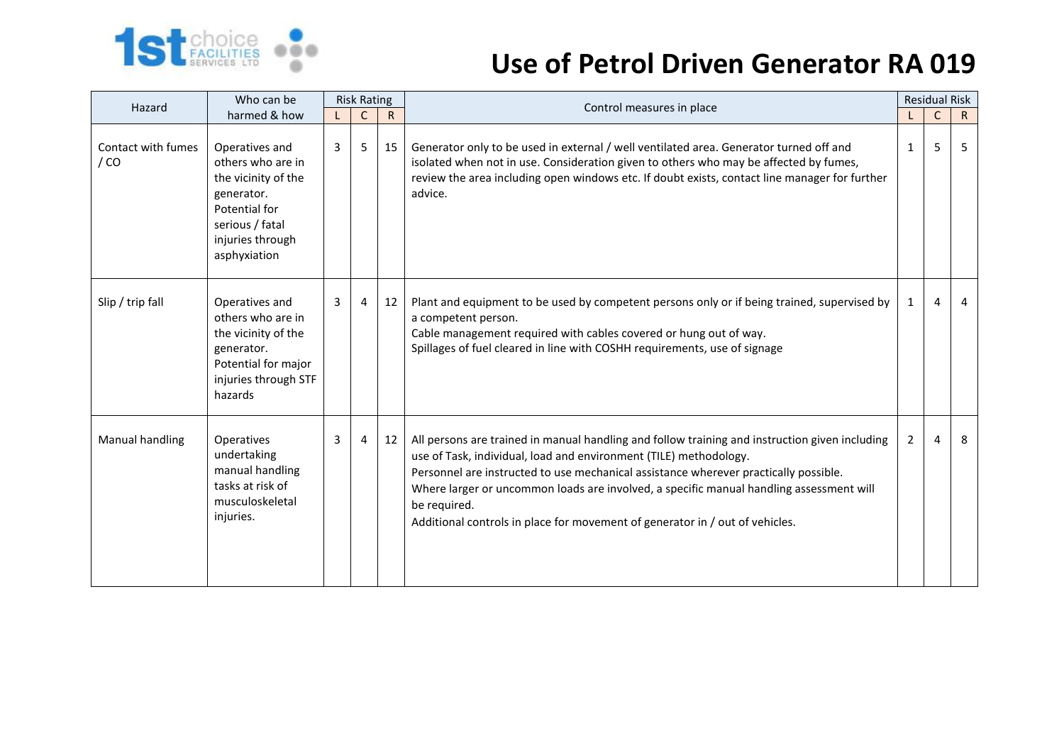

## **Use of Petrol Driven Generator RA 019**

| Hazard                     | Who can be                                                                                                                                       | <b>Risk Rating</b> |              |              | Control measures in place                                                                                                                                                                                                                                                                                                                                                                                                                              |              | <b>Residual Risk</b> |                |
|----------------------------|--------------------------------------------------------------------------------------------------------------------------------------------------|--------------------|--------------|--------------|--------------------------------------------------------------------------------------------------------------------------------------------------------------------------------------------------------------------------------------------------------------------------------------------------------------------------------------------------------------------------------------------------------------------------------------------------------|--------------|----------------------|----------------|
| harmed & how               |                                                                                                                                                  |                    | $\mathsf{C}$ | $\mathsf{R}$ |                                                                                                                                                                                                                                                                                                                                                                                                                                                        |              | $\mathsf{C}$         | $\mathsf{R}$   |
| Contact with fumes<br>/ CO | Operatives and<br>others who are in<br>the vicinity of the<br>generator.<br>Potential for<br>serious / fatal<br>injuries through<br>asphyxiation | 3                  | 5            | 15           | Generator only to be used in external / well ventilated area. Generator turned off and<br>isolated when not in use. Consideration given to others who may be affected by fumes,<br>review the area including open windows etc. If doubt exists, contact line manager for further<br>advice.                                                                                                                                                            | $\mathbf{1}$ | 5                    | 5              |
| Slip / trip fall           | Operatives and<br>others who are in<br>the vicinity of the<br>generator.<br>Potential for major<br>injuries through STF<br>hazards               | 3                  | 4            | 12           | Plant and equipment to be used by competent persons only or if being trained, supervised by<br>a competent person.<br>Cable management required with cables covered or hung out of way.<br>Spillages of fuel cleared in line with COSHH requirements, use of signage                                                                                                                                                                                   | $\mathbf{1}$ | $\overline{4}$       | $\overline{4}$ |
| Manual handling            | Operatives<br>undertaking<br>manual handling<br>tasks at risk of<br>musculoskeletal<br>injuries.                                                 | 3                  | 4            | 12           | All persons are trained in manual handling and follow training and instruction given including<br>use of Task, individual, load and environment (TILE) methodology.<br>Personnel are instructed to use mechanical assistance wherever practically possible.<br>Where larger or uncommon loads are involved, a specific manual handling assessment will<br>be required.<br>Additional controls in place for movement of generator in / out of vehicles. | 2            | 4                    | 8              |